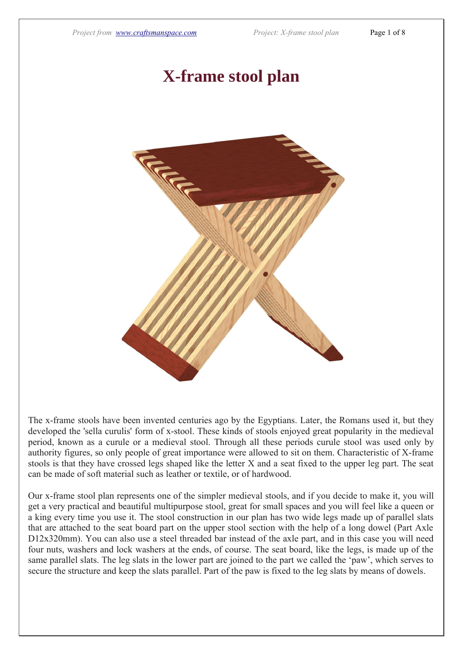## **X-frame stool plan**



The x-frame stools have been invented centuries ago by the Egyptians. Later, the Romans used it, but they developed the 'sella curulis' form of x-stool. These kinds of stools enjoyed great popularity in the medieval period, known as a curule or a medieval stool. Through all these periods curule stool was used only by authority figures, so only people of great importance were allowed to sit on them. Characteristic of X-frame stools is that they have crossed legs shaped like the letter X and a seat fixed to the upper leg part. The seat can be made of soft material such as leather or textile, or of hardwood.

Our x-frame stool plan represents one of the simpler medieval stools, and if you decide to make it, you will get a very practical and beautiful multipurpose stool, great for small spaces and you will feel like a queen or a king every time you use it. The stool construction in our plan has two wide legs made up of parallel slats that are attached to the seat board part on the upper stool section with the help of a long dowel (Part Axle D12x320mm). You can also use a steel threaded bar instead of the axle part, and in this case you will need four nuts, washers and lock washers at the ends, of course. The seat board, like the legs, is made up of the same parallel slats. The leg slats in the lower part are joined to the part we called the 'paw', which serves to secure the structure and keep the slats parallel. Part of the paw is fixed to the leg slats by means of dowels.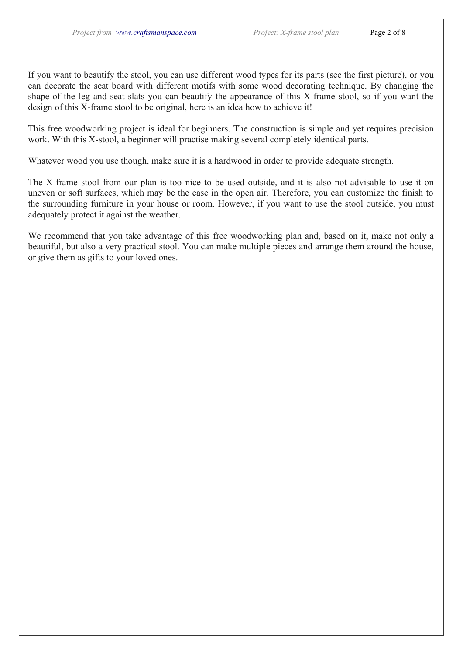If you want to beautify the stool, you can use different wood types for its parts (see the first picture), or you can decorate the seat board with different motifs with some wood decorating technique. By changing the shape of the leg and seat slats you can beautify the appearance of this X-frame stool, so if you want the design of this X-frame stool to be original, here is an idea how to achieve it!

This free woodworking project is ideal for beginners. The construction is simple and yet requires precision work. With this X-stool, a beginner will practise making several completely identical parts.

Whatever wood you use though, make sure it is a hardwood in order to provide adequate strength.

The X-frame stool from our plan is too nice to be used outside, and it is also not advisable to use it on uneven or soft surfaces, which may be the case in the open air. Therefore, you can customize the finish to the surrounding furniture in your house or room. However, if you want to use the stool outside, you must adequately protect it against the weather.

We recommend that you take advantage of this free woodworking plan and, based on it, make not only a beautiful, but also a very practical stool. You can make multiple pieces and arrange them around the house, or give them as gifts to your loved ones.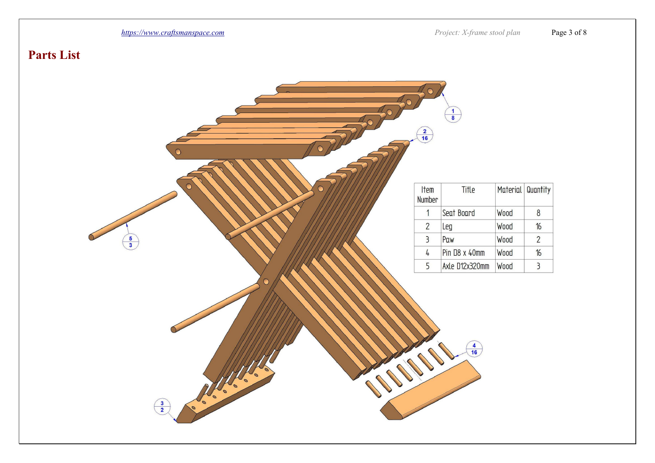

## **Parts List**

|                            | $\begin{array}{c}\n2 \\ 16\n\end{array}$ | $\begin{array}{c}\n1 \\ 8\n\end{array}$                        |                   |                |
|----------------------------|------------------------------------------|----------------------------------------------------------------|-------------------|----------------|
|                            | <b>Item</b><br>Number                    | Title                                                          | Material Quantity |                |
|                            | $\mathbf 1$                              | Seat Board                                                     | <b>Wood</b>       | 8              |
|                            | $\overline{2}$                           | Leg                                                            | Wood              | 16             |
| $\frac{5}{3}$              | $\overline{3}$                           | Paw                                                            | <b>Wood</b>       | $\overline{2}$ |
|                            | $\overline{4}$                           | <b>Pin D8 x 40mm</b>                                           | Wood              | 16             |
|                            | 5                                        | Axle D12x320mm                                                 | Wood              | $\overline{3}$ |
| $\bigcap$<br>$\frac{3}{2}$ |                                          | $\begin{array}{c}\n\overline{4} \\ \overline{16}\n\end{array}$ |                   |                |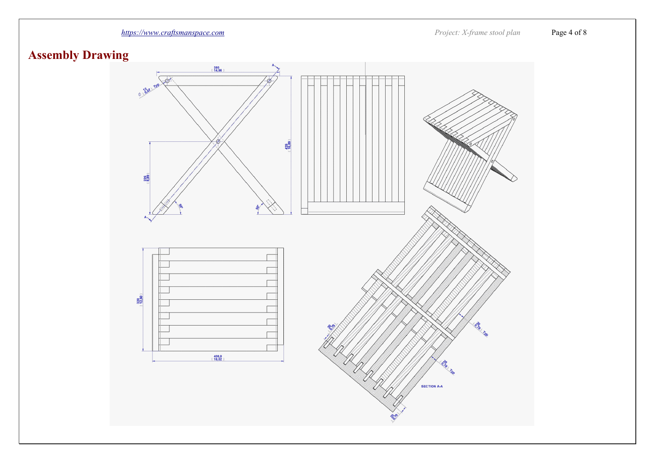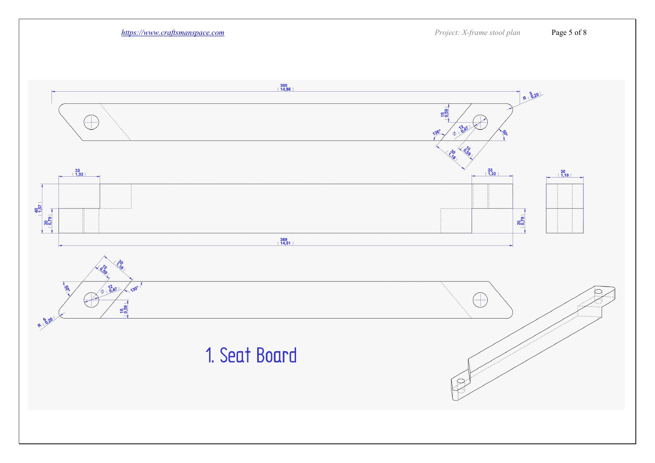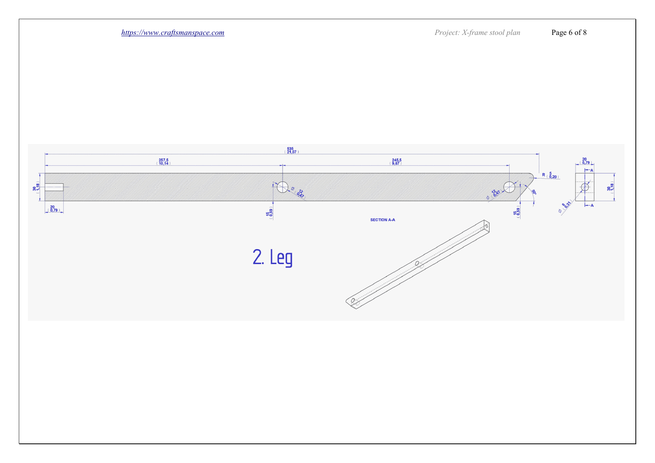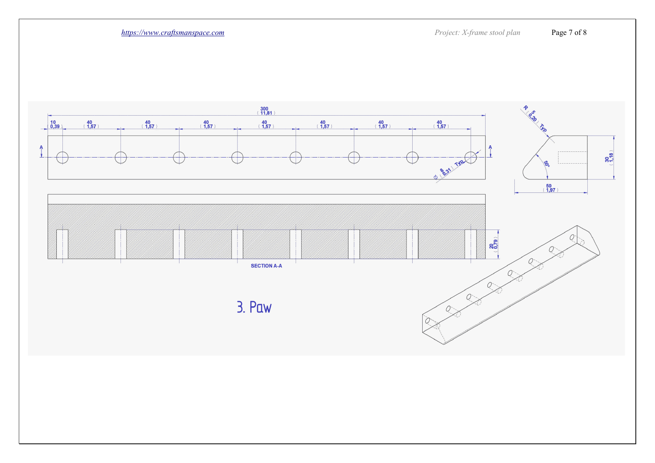*[https://www.craftsmanspace.com](https://www.craftsmanspace.com/) Project: X-frame stool plan* Page 7 of 8